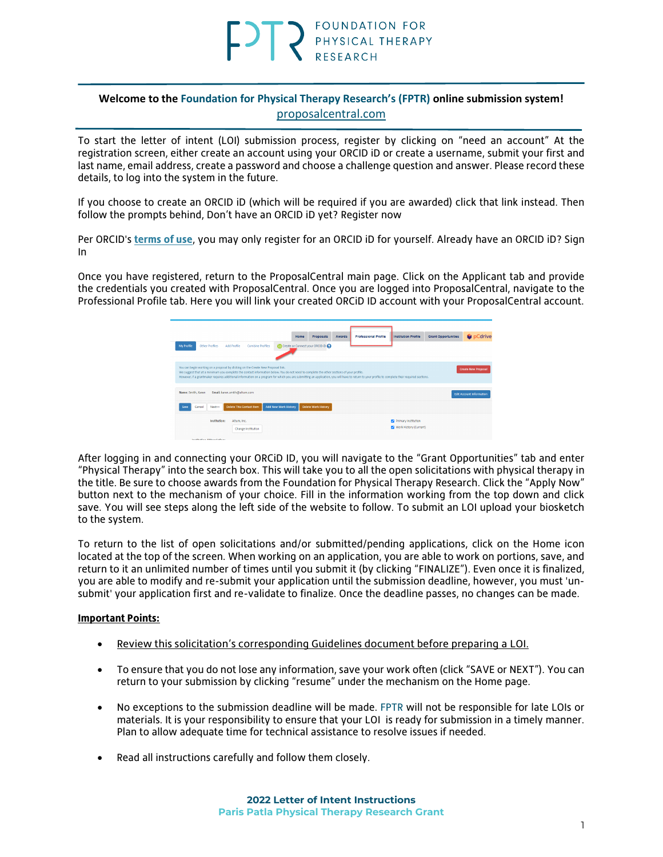### **Welcome to the Foundation for Physical Therapy Research's (FPTR) online submission system!** [proposalcentral.com](https://proposalcentral.com/default.asp)

To start the letter of intent (LOI) submission process, register by clicking on "need an account" At the registration screen, either create an account using your ORCID iD or create a username, submit your first and last name, email address, create a password and choose a challenge question and answer. Please record these details, to log into the system in the future.

If you choose to create an ORCID iD (which will be required if you are awarded) click that link instead. Then follow the prompts behind, Don't have an ORCID iD yet? Register now

Per ORCID's **[terms of use](https://info.orcid.org/content/orcid-terms-use)**, you may only register for an ORCID iD for yourself. Already have an ORCID iD? Sign In

Once you have registered, return to the ProposalCentral main page. Click on the Applicant tab and provide the credentials you created with ProposalCentral. Once you are logged into ProposalCentral, navigate to the Professional Profile tab. Here you will link your created ORCiD ID account with your ProposalCentral account.



After logging in and connecting your ORCiD ID, you will navigate to the "Grant Opportunities" tab and enter "Physical Therapy" into the search box. This will take you to all the open solicitations with physical therapy in the title. Be sure to choose awards from the Foundation for Physical Therapy Research. Click the "Apply Now" button next to the mechanism of your choice. Fill in the information working from the top down and click save. You will see steps along the left side of the website to follow. To submit an LOI upload your biosketch to the system.

To return to the list of open solicitations and/or submitted/pending applications, click on the Home icon located at the top of the screen. When working on an application, you are able to work on portions, save, and return to it an unlimited number of times until you submit it (by clicking "FINALIZE"). Even once it is finalized, you are able to modify and re-submit your application until the submission deadline, however, you must 'unsubmit' your application first and re-validate to finalize. Once the deadline passes, no changes can be made.

### **Important Points:**

- Review this solicitation's corresponding Guidelines document before preparing a LOI.
- To ensure that you do not lose any information, save your work often (click "SAVE or NEXT"). You can return to your submission by clicking "resume" under the mechanism on the Home page.
- No exceptions to the submission deadline will be made. FPTR will not be responsible for late LOIs or materials. It is your responsibility to ensure that your LOI is ready for submission in a timely manner. Plan to allow adequate time for technical assistance to resolve issues if needed.
- Read all instructions carefully and follow them closely.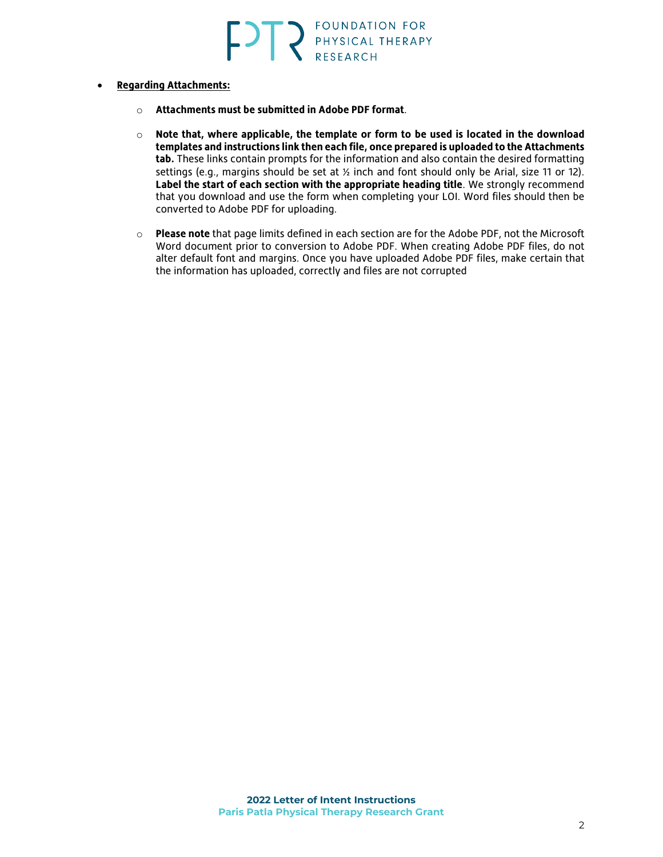- **Regarding Attachments:**
	- o **Attachments must be submitted in Adobe PDF format**.
	- o **Note that, where applicable, the template or form to be used is located in the download templates and instructions link then each file, once prepared is uploaded to the Attachments tab.** These links contain prompts for the information and also contain the desired formatting settings (e.g., margins should be set at ½ inch and font should only be Arial, size 11 or 12). **Label the start of each section with the appropriate heading title**. We strongly recommend that you download and use the form when completing your LOI. Word files should then be converted to Adobe PDF for uploading.
	- o **Please note** that page limits defined in each section are for the Adobe PDF, not the Microsoft Word document prior to conversion to Adobe PDF. When creating Adobe PDF files, do not alter default font and margins. Once you have uploaded Adobe PDF files, make certain that the information has uploaded, correctly and files are not corrupted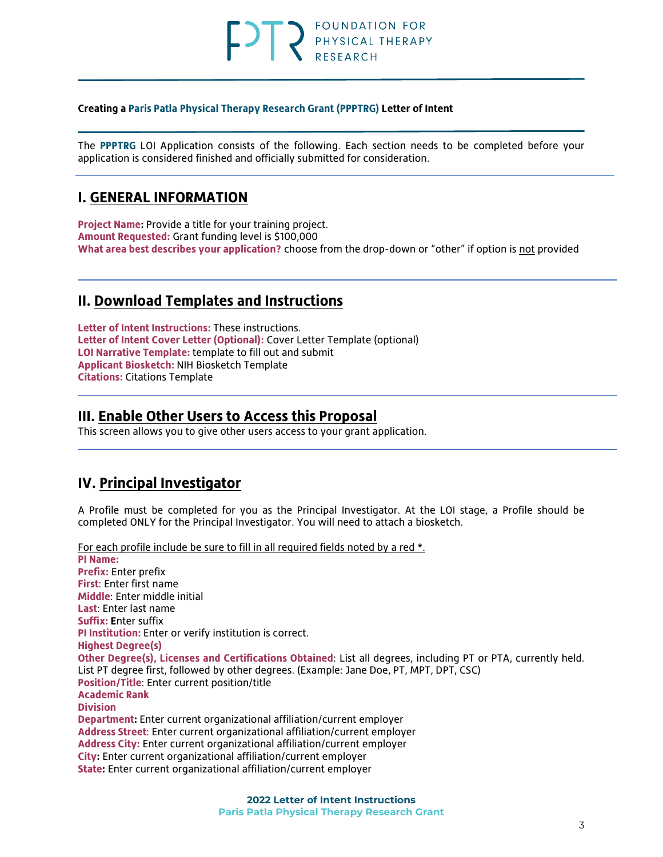## FOUNDATION FOR PHYSICAL THERAPY

### **Creating a Paris Patla Physical Therapy Research Grant (PPPTRG) Letter of Intent**

The **PPPTRG** LOI Application consists of the following. Each section needs to be completed before your application is considered finished and officially submitted for consideration.

## **I. GENERAL INFORMATION**

**Project Name:** Provide a title for your training project. **Amount Requested:** Grant funding level is \$100,000 **What area best describes your application?** choose from the drop-down or "other" if option is not provided

## **II. Download Templates and Instructions**

**Letter of Intent Instructions:** These instructions. **Letter of Intent Cover Letter (Optional):** Cover Letter Template (optional) **LOI Narrative Template:** template to fill out and submit **Applicant Biosketch:** NIH Biosketch Template **Citations:** Citations Template

## **III. Enable Other Users to Access this Proposal**

This screen allows you to give other users access to your grant application.

## **IV. Principal Investigator**

A Profile must be completed for you as the Principal Investigator. At the LOI stage, a Profile should be completed ONLY for the Principal Investigator. You will need to attach a biosketch.

For each profile include be sure to fill in all required fields noted by a red \*. **PI Name: Prefix:** Enter prefix **First**: Enter first name **Middle**: Enter middle initial **Last**: Enter last name **Suffix: E**nter suffix **PI Institution:** Enter or verify institution is correct. **Highest Degree(s) Other Degree(s), Licenses and Certifications Obtained**: List all degrees, including PT or PTA, currently held. List PT degree first, followed by other degrees. (Example: Jane Doe, PT, MPT, DPT, CSC) **Position/Title**: Enter current position/title **Academic Rank Division Department:** Enter current organizational affiliation/current employer **Address Street**: Enter current organizational affiliation/current employer **Address City:** Enter current organizational affiliation/current employer **City:** Enter current organizational affiliation/current employer **State:** Enter current organizational affiliation/current employer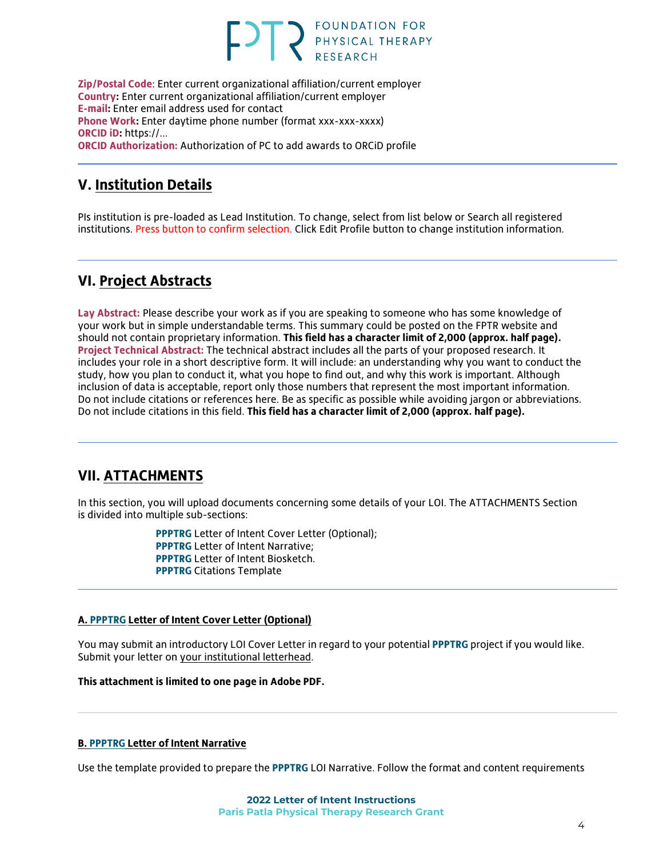# **FOUNDATION FOR** PHYSICAL THERAPY

**Zip/Postal Code**: Enter current organizational affiliation/current employer **Country:** Enter current organizational affiliation/current employer **E-mail:** Enter email address used for contact **Phone Work:** Enter daytime phone number (format xxx-xxx-xxxx) **ORCID iD:** https://... **ORCID Authorization:** Authorization of PC to add awards to ORCiD profile

## **V. Institution Details**

PIs institution is pre-loaded as Lead Institution. To change, select from list below or Search all registered institutions. Press button to confirm selection. Click Edit Profile button to change institution information.

## **VI. Project Abstracts**

**Lay Abstract:** Please describe your work as if you are speaking to someone who has some knowledge of your work but in simple understandable terms. This summary could be posted on the FPTR website and should not contain proprietary information. **This field has a character limit of 2,000 (approx. half page). Project Technical Abstract:** The technical abstract includes all the parts of your proposed research. It includes your role in a short descriptive form. It will include: an understanding why you want to conduct the study, how you plan to conduct it, what you hope to find out, and why this work is important. Although inclusion of data is acceptable, report only those numbers that represent the most important information. Do not include citations or references here. Be as specific as possible while avoiding jargon or abbreviations. Do not include citations in this field. **This field has a character limit of 2,000 (approx. half page).**

## **VII. ATTACHMENTS**

In this section, you will upload documents concerning some details of your LOI. The ATTACHMENTS Section is divided into multiple sub-sections:

> **PPPTRG** Letter of Intent Cover Letter (Optional); **PPPTRG** Letter of Intent Narrative; **PPPTRG** Letter of Intent Biosketch. **PPPTRG** Citations Template

### **A. PPPTRG Letter of Intent Cover Letter (Optional)**

You may submit an introductory LOI Cover Letter in regard to your potential **PPPTRG** project if you would like. Submit your letter on your institutional letterhead.

**This attachment is limited to one page in Adobe PDF.**

### **B. PPPTRG Letter of Intent Narrative**

Use the template provided to prepare the **PPPTRG** LOI Narrative. Follow the format and content requirements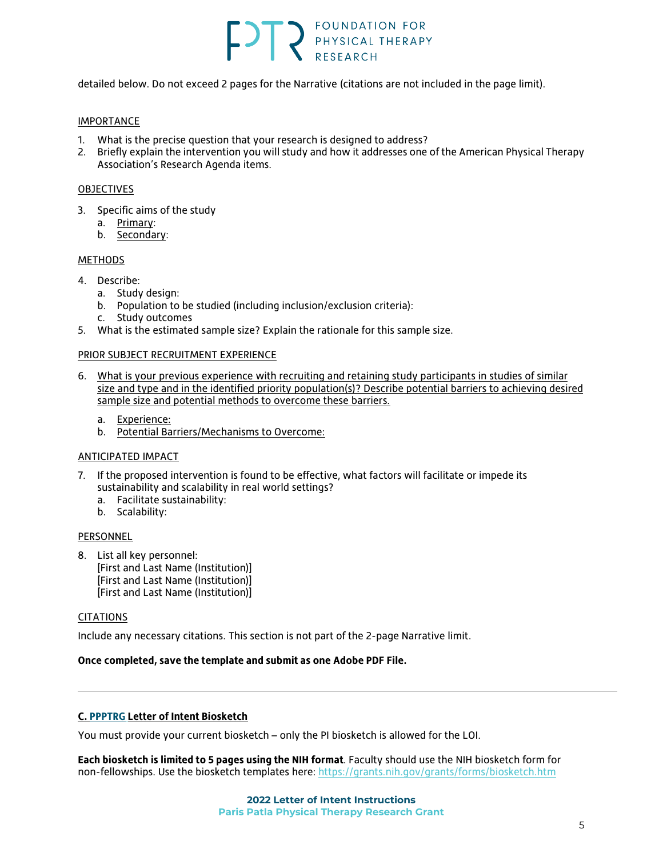# FOUNDATION FOR PHYSICAL THERAPY

detailed below. Do not exceed 2 pages for the Narrative (citations are not included in the page limit).

### IMPORTANCE

- 1. What is the precise question that your research is designed to address?
- 2. Briefly explain the intervention you will study and how it addresses one of the American Physical Therapy Association's Research Agenda items.

### [OBJECTIVES](http://www.pcori.org/AppData/Local/Microsoft/Windows/AppData/Local/Microsoft/Windows/Temporary%20Internet%20Files/Content.Outlook/AppData/Local/Microsoft/Windows/AppData/Local/Microsoft/Windows/AppData/Local/Microsoft/OBJECTIVES)

- 3. Specific aims of the study
	- a. Primary:
	- b. Secondary:

### [METHODS](http://www.pcori.org/AppData/Local/Microsoft/Windows/AppData/Local/Microsoft/Windows/Temporary%20Internet%20Files/Content.Outlook/AppData/Local/Microsoft/Windows/AppData/Local/Microsoft/Windows/AppData/Local/Microsoft/METHODS)

- 4. Describe:
	- a. Study design:
	- b. Population to be studied (including inclusion/exclusion criteria):
	- c. Study outcomes
- 5. What is the estimated sample size? Explain the rationale for this sample size.

### PRIOR SUBJECT RECRUITMENT EXPERIENCE

- 6. What is your previous experience with recruiting and retaining study participants in studies of similar size and type and in the identified priority population(s)? Describe potential barriers to achieving desired sample size and potential methods to overcome these barriers.
	- a. Experience:
	- b. Potential Barriers/Mechanisms to Overcome:

### ANTICIPATED IMPACT

- 7. If the proposed intervention is found to be effective, what factors will facilitate or impede its sustainability and scalability in real world settings?
	- a. Facilitate sustainability:
	- b. Scalability:

### PERSONNEL

8. List all key personnel: [First and Last Name (Institution)] [First and Last Name (Institution)] [First and Last Name (Institution)]

### CITATIONS

Include any necessary citations. This section is not part of the 2-page Narrative limit.

### **Once completed, save the template and submit as one Adobe PDF File.**

### **C. PPPTRG Letter of Intent Biosketch**

You must provide your current biosketch – only the PI biosketch is allowed for the LOI.

**Each biosketch is limited to 5 pages using the NIH format**. Faculty should use the NIH biosketch form for non-fellowships. Use the biosketch templates here:<https://grants.nih.gov/grants/forms/biosketch.htm>